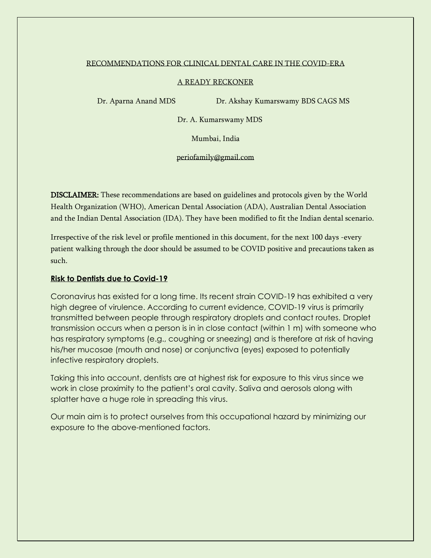#### RECOMMENDATIONS FOR CLINICAL DENTAL CARE IN THE COVID-ERA

#### A READY RECKONER

Dr. Aparna Anand MDS Dr. Akshay Kumarswamy BDS CAGS MS

Dr. A. Kumarswamy MDS

Mumbai, India

periofamily@gmail.com

DISCLAIMER: These recommendations are based on guidelines and protocols given by the World Health Organization (WHO), American Dental Association (ADA), Australian Dental Association and the Indian Dental Association (IDA). They have been modified to fit the Indian dental scenario.

Irrespective of the risk level or profile mentioned in this document, for the next 100 days -every patient walking through the door should be assumed to be COVID positive and precautions taken as such.

## **Risk to Dentists due to Covid-19**

Coronavirus has existed for a long time. Its recent strain COVID-19 has exhibited a very high degree of virulence. According to current evidence, COVID-19 virus is primarily transmitted between people through respiratory droplets and contact routes. Droplet transmission occurs when a person is in in close contact (within 1 m) with someone who has respiratory symptoms (e.g., coughing or sneezing) and is therefore at risk of having his/her mucosae (mouth and nose) or conjunctiva (eyes) exposed to potentially infective respiratory droplets.

Taking this into account, dentists are at highest risk for exposure to this virus since we work in close proximity to the patient's oral cavity. Saliva and aerosols along with splatter have a huge role in spreading this virus.

Our main aim is to protect ourselves from this occupational hazard by minimizing our exposure to the above-mentioned factors.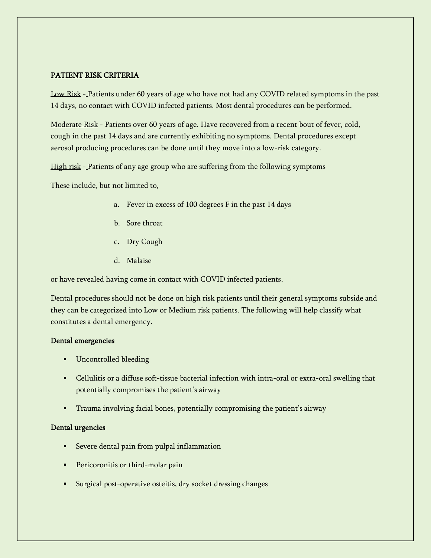## PATIENT RISK CRITERIA

Low Risk - Patients under 60 years of age who have not had any COVID related symptoms in the past 14 days, no contact with COVID infected patients. Most dental procedures can be performed.

Moderate Risk - Patients over 60 years of age. Have recovered from a recent bout of fever, cold, cough in the past 14 days and are currently exhibiting no symptoms. Dental procedures except aerosol producing procedures can be done until they move into a low-risk category.

High risk - Patients of any age group who are suffering from the following symptoms

These include, but not limited to,

- a. Fever in excess of 100 degrees F in the past 14 days
- b. Sore throat
- c. Dry Cough
- d. Malaise

or have revealed having come in contact with COVID infected patients.

Dental procedures should not be done on high risk patients until their general symptoms subside and they can be categorized into Low or Medium risk patients. The following will help classify what constitutes a dental emergency.

## Dental emergencies

- Uncontrolled bleeding
- Cellulitis or a diffuse soft-tissue bacterial infection with intra-oral or extra-oral swelling that potentially compromises the patient's airway
- **•** Trauma involving facial bones, potentially compromising the patient's airway

## Dental urgencies

- Severe dental pain from pulpal inflammation
- **•** Pericoronitis or third-molar pain
- Surgical post-operative osteitis, dry socket dressing changes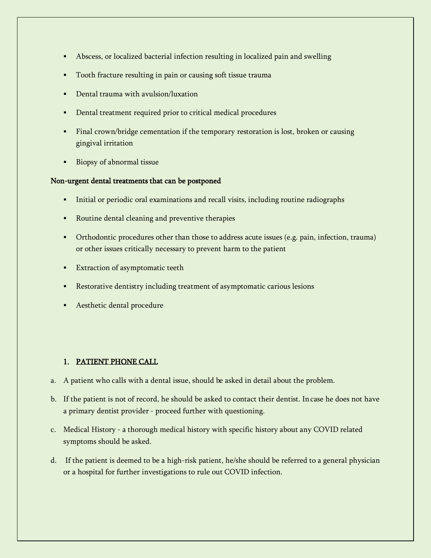- Abscess, or localized bacterial infection resulting in localized pain and swelling
- **•** Tooth fracture resulting in pain or causing soft tissue trauma
- Dental trauma with avulsion/luxation
- **•** Dental treatment required prior to critical medical procedures
- Final crown/bridge cementation if the temporary restoration is lost, broken or causing gingival irritation
- Biopsy of abnormal tissue

## Non-urgent dental treatments that can be postponed

- Initial or periodic oral examinations and recall visits, including routine radiographs
- Routine dental cleaning and preventive therapies
- Orthodontic procedures other than those to address acute issues (e.g. pain, infection, trauma) or other issues critically necessary to prevent harm to the patient
- **Extraction of asymptomatic teeth**
- Restorative dentistry including treatment of asymptomatic carious lesions
- **•** Aesthetic dental procedure

# 1. PATIENT PHONE CALL

- a. A patient who calls with a dental issue, should be asked in detail about the problem.
- b. If the patient is not of record, he should be asked to contact their dentist. Incase he does not have a primary dentist provider - proceed further with questioning.
- c. Medical History a thorough medical history with specific history about any COVID related symptoms should be asked.
- d. If the patient is deemed to be a high-risk patient, he/she should be referred to a general physician or a hospital for further investigations to rule out COVID infection.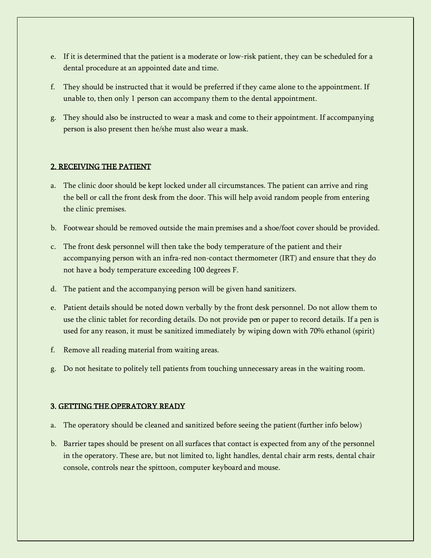- e. If it is determined that the patient is a moderate or low-risk patient, they can be scheduled for a dental procedure at an appointed date and time.
- f. They should be instructed that it would be preferred if they came alone to the appointment. If unable to, then only 1 person can accompany them to the dental appointment.
- g. They should also be instructed to wear a mask and come to their appointment. If accompanying person is also present then he/she must also wear a mask.

## 2. RECEIVING THE PATIENT

- a. The clinic door should be kept locked under all circumstances. The patient can arrive and ring the bell or call the front desk from the door. This will help avoid random people from entering the clinic premises.
- b. Footwear should be removed outside the main premises and a shoe/foot cover should be provided.
- c. The front desk personnel will then take the body temperature of the patient and their accompanying person with an infra-red non-contact thermometer (IRT) and ensure that they do not have a body temperature exceeding 100 degrees F.
- d. The patient and the accompanying person will be given hand sanitizers.
- e. Patient details should be noted down verbally by the front desk personnel. Do not allow them to use the clinic tablet for recording details. Do not provide pen or paper to record details. If a pen is used for any reason, it must be sanitized immediately by wiping down with 70% ethanol (spirit)
- f. Remove all reading material from waiting areas.
- g. Do not hesitate to politely tell patients from touching unnecessary areas in the waiting room.

## 3. GETTING THE OPERATORY READY

- a. The operatory should be cleaned and sanitized before seeing the patient(further info below)
- b. Barrier tapes should be present on all surfaces that contact is expected from any of the personnel in the operatory. These are, but not limited to, light handles, dental chair arm rests, dental chair console, controls near the spittoon, computer keyboard and mouse.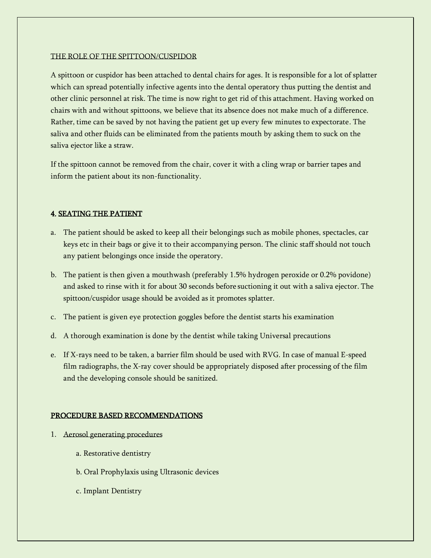## THE ROLE OF THE SPITTOON/CUSPIDOR

A spittoon or cuspidor has been attached to dental chairs for ages. It is responsible for a lot of splatter which can spread potentially infective agents into the dental operatory thus putting the dentist and other clinic personnel at risk. The time is now right to get rid of this attachment. Having worked on chairs with and without spittoons, we believe that its absence does not make much of a difference. Rather, time can be saved by not having the patient get up every few minutes to expectorate. The saliva and other fluids can be eliminated from the patients mouth by asking them to suck on the saliva ejector like a straw.

If the spittoon cannot be removed from the chair, cover it with a cling wrap or barrier tapes and inform the patient about its non-functionality.

# 4. SEATING THE PATIENT

- a. The patient should be asked to keep all their belongings such as mobile phones, spectacles, car keys etc in their bags or give it to their accompanying person. The clinic staff should not touch any patient belongings once inside the operatory.
- b. The patient is then given a mouthwash (preferably 1.5% hydrogen peroxide or 0.2% povidone) and asked to rinse with it for about 30 seconds before suctioning it out with a saliva ejector. The spittoon/cuspidor usage should be avoided as it promotes splatter.
- c. The patient is given eye protection goggles before the dentist starts his examination
- d. A thorough examination is done by the dentist while taking Universal precautions
- e. If X-rays need to be taken, a barrier film should be used with RVG. In case of manual E-speed film radiographs, the X-ray cover should be appropriately disposed after processing of the film and the developing console should be sanitized.

# PROCEDURE BASED RECOMMENDATIONS

- 1. Aerosol generating procedures
	- a. Restorative dentistry
	- b. Oral Prophylaxis using Ultrasonic devices
	- c. Implant Dentistry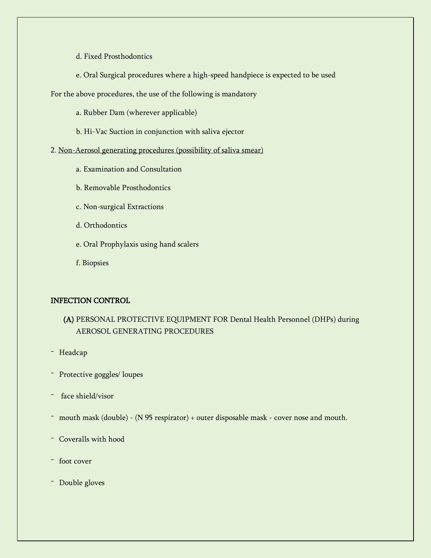- d. Fixed Prosthodontics
- e. Oral Surgical procedures where a high-speed handpiece is expected to be used
- For the above procedures, the use of the following is mandatory
	- a. Rubber Dam (wherever applicable)
	- b. Hi-Vac Suction in conjunction with saliva ejector
- 2. Non-Aerosol generating procedures (possibility of saliva smear)
	- a. Examination and Consultation
	- b. Removable Prosthodontics
	- c. Non-surgical Extractions
	- d. Orthodontics
	- e. Oral Prophylaxis using hand scalers
	- f. Biopsies

# INFECTION CONTROL

# (A) PERSONAL PROTECTIVE EQUIPMENT FOR Dental Health Personnel (DHPs) during AEROSOL GENERATING PROCEDURES

- Headcap
- Protective goggles/ loupes
- face shield/visor
- mouth mask (double) (N 95 respirator) + outer disposable mask cover nose and mouth.
- Coveralls with hood
- foot cover
- Double gloves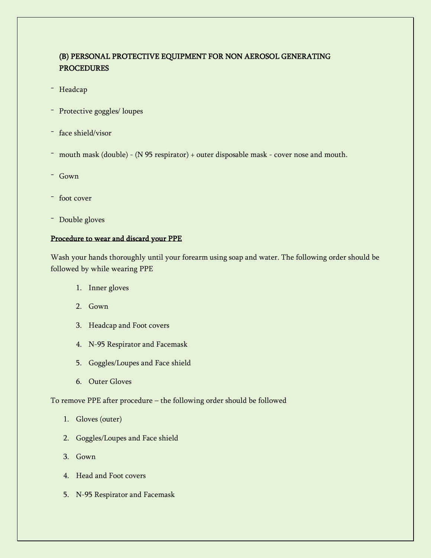# (B) PERSONAL PROTECTIVE EQUIPMENT FOR NON AEROSOL GENERATING **PROCEDURES**

- Headcap
- Protective goggles/ loupes
- face shield/visor
- mouth mask (double) (N 95 respirator) + outer disposable mask cover nose and mouth.
- Gown
- foot cover
- Double gloves

#### Procedure to wear and discard your PPE

Wash your hands thoroughly until your forearm using soap and water. The following order should be followed by while wearing PPE

- 1. Inner gloves
- 2. Gown
- 3. Headcap and Foot covers
- 4. N-95 Respirator and Facemask
- 5. Goggles/Loupes and Face shield
- 6. Outer Gloves

To remove PPE after procedure – the following order should be followed

- 1. Gloves (outer)
- 2. Goggles/Loupes and Face shield
- 3. Gown
- 4. Head and Foot covers
- 5. N-95 Respirator and Facemask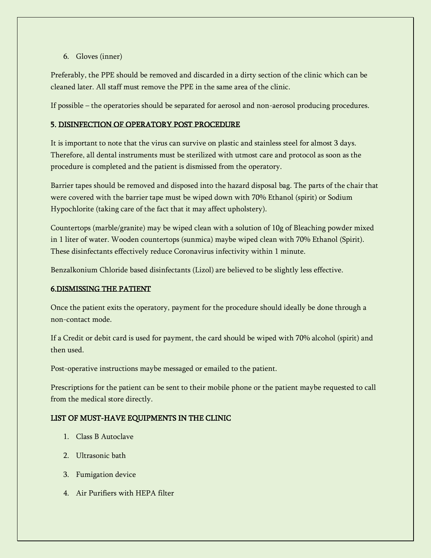## 6. Gloves (inner)

Preferably, the PPE should be removed and discarded in a dirty section of the clinic which can be cleaned later. All staff must remove the PPE in the same area of the clinic.

If possible – the operatories should be separated for aerosol and non-aerosol producing procedures.

## 5. DISINFECTION OF OPERATORY POST PROCEDURE

It is important to note that the virus can survive on plastic and stainless steel for almost 3 days. Therefore, all dental instruments must be sterilized with utmost care and protocol as soon as the procedure is completed and the patient is dismissed from the operatory.

Barrier tapes should be removed and disposed into the hazard disposal bag. The parts of the chair that were covered with the barrier tape must be wiped down with 70% Ethanol (spirit) or Sodium Hypochlorite (taking care of the fact that it may affect upholstery).

Countertops (marble/granite) may be wiped clean with a solution of 10g of Bleaching powder mixed in 1 liter of water. Wooden countertops (sunmica) maybe wiped clean with 70% Ethanol (Spirit). These disinfectants effectively reduce Coronavirus infectivity within 1 minute.

Benzalkonium Chloride based disinfectants (Lizol) are believed to be slightly less effective.

## 6.DISMISSING THE PATIENT

Once the patient exits the operatory, payment for the procedure should ideally be done through a non-contact mode.

If a Credit or debit card is used for payment, the card should be wiped with 70% alcohol (spirit) and then used.

Post-operative instructions maybe messaged or emailed to the patient.

Prescriptions for the patient can be sent to their mobile phone or the patient maybe requested to call from the medical store directly.

# LIST OF MUST-HAVE EQUIPMENTS IN THE CLINIC

- 1. Class B Autoclave
- 2. Ultrasonic bath
- 3. Fumigation device
- 4. Air Purifiers with HEPA filter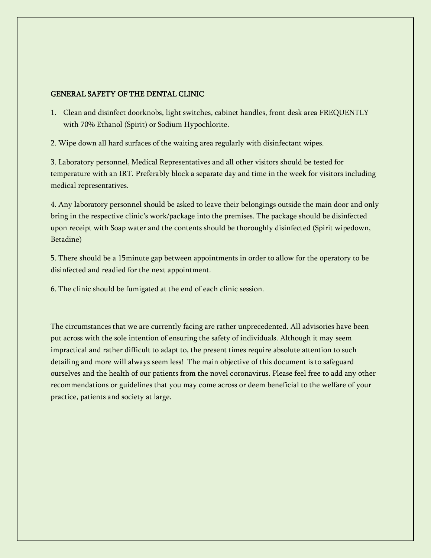## GENERAL SAFETY OF THE DENTAL CLINIC

1. Clean and disinfect doorknobs, light switches, cabinet handles, front desk area FREQUENTLY with 70% Ethanol (Spirit) or Sodium Hypochlorite.

2. Wipe down all hard surfaces of the waiting area regularly with disinfectant wipes.

3. Laboratory personnel, Medical Representatives and all other visitors should be tested for temperature with an IRT. Preferably block a separate day and time in the week for visitors including medical representatives.

4. Any laboratory personnel should be asked to leave their belongings outside the main door and only bring in the respective clinic's work/package into the premises. The package should be disinfected upon receipt with Soap water and the contents should be thoroughly disinfected (Spirit wipedown, Betadine)

5. There should be a 15minute gap between appointments in order to allow for the operatory to be disinfected and readied for the next appointment.

6. The clinic should be fumigated at the end of each clinic session.

The circumstances that we are currently facing are rather unprecedented. All advisories have been put across with the sole intention of ensuring the safety of individuals. Although it may seem impractical and rather difficult to adapt to, the present times require absolute attention to such detailing and more will always seem less! The main objective of this document is to safeguard ourselves and the health of our patients from the novel coronavirus. Please feel free to add any other recommendations or guidelines that you may come across or deem beneficial to the welfare of your practice, patients and society at large.